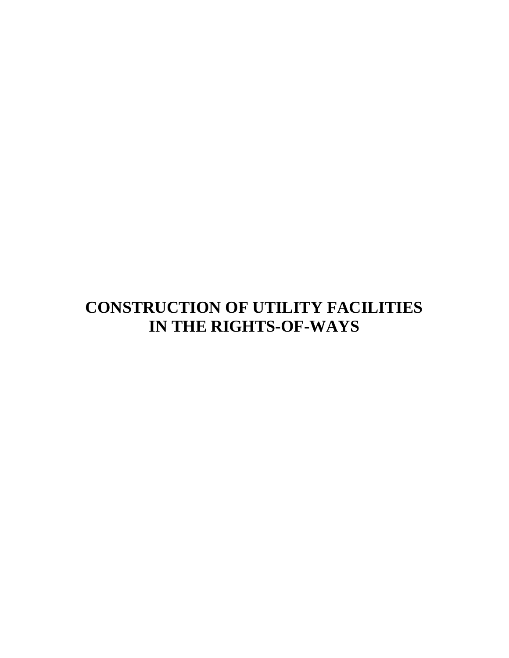# **CONSTRUCTION OF UTILITY FACILITIES IN THE RIGHTS-OF-WAYS**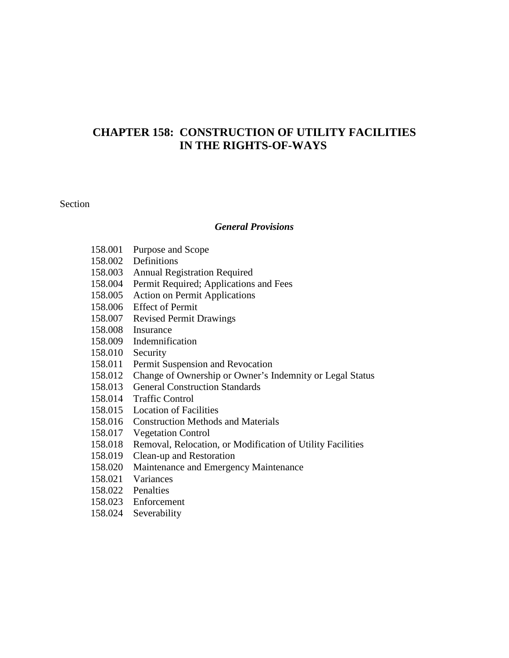# **CHAPTER 158: CONSTRUCTION OF UTILITY FACILITIES IN THE RIGHTS-OF-WAYS**

#### Section

#### *General Provisions*

- 158.001 Purpose and Scope
- 158.002 Definitions
- 158.003 Annual Registration Required
- 158.004 Permit Required; Applications and Fees
- 158.005 Action on Permit Applications
- 158.006 Effect of Permit
- 158.007 Revised Permit Drawings
- 158.008 Insurance
- 158.009 Indemnification
- 158.010 Security
- 158.011 Permit Suspension and Revocation
- 158.012 Change of Ownership or Owner's Indemnity or Legal Status
- 158.013 General Construction Standards
- 158.014 Traffic Control
- 158.015 Location of Facilities
- 158.016 Construction Methods and Materials
- 158.017 Vegetation Control
- 158.018 Removal, Relocation, or Modification of Utility Facilities
- 158.019 Clean-up and Restoration
- 158.020 Maintenance and Emergency Maintenance
- 158.021 Variances
- 158.022 Penalties
- 158.023 Enforcement
- 158.024 Severability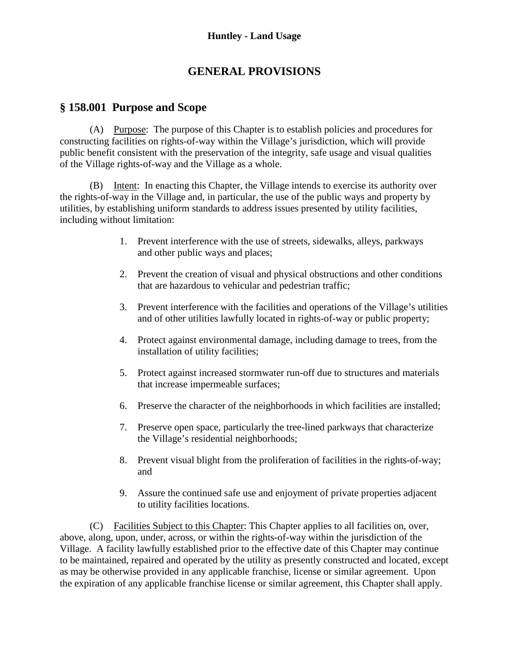# **GENERAL PROVISIONS**

# **§ 158.001 Purpose and Scope**

(A) Purpose: The purpose of this Chapter is to establish policies and procedures for constructing facilities on rights-of-way within the Village's jurisdiction, which will provide public benefit consistent with the preservation of the integrity, safe usage and visual qualities of the Village rights-of-way and the Village as a whole.

(B) Intent: In enacting this Chapter, the Village intends to exercise its authority over the rights-of-way in the Village and, in particular, the use of the public ways and property by utilities, by establishing uniform standards to address issues presented by utility facilities, including without limitation:

- 1. Prevent interference with the use of streets, sidewalks, alleys, parkways and other public ways and places;
- 2. Prevent the creation of visual and physical obstructions and other conditions that are hazardous to vehicular and pedestrian traffic;
- 3. Prevent interference with the facilities and operations of the Village's utilities and of other utilities lawfully located in rights-of-way or public property;
- 4. Protect against environmental damage, including damage to trees, from the installation of utility facilities;
- 5. Protect against increased stormwater run-off due to structures and materials that increase impermeable surfaces;
- 6. Preserve the character of the neighborhoods in which facilities are installed;
- 7. Preserve open space, particularly the tree-lined parkways that characterize the Village's residential neighborhoods;
- 8. Prevent visual blight from the proliferation of facilities in the rights-of-way; and
- 9. Assure the continued safe use and enjoyment of private properties adjacent to utility facilities locations.

(C) Facilities Subject to this Chapter: This Chapter applies to all facilities on, over, above, along, upon, under, across, or within the rights-of-way within the jurisdiction of the Village. A facility lawfully established prior to the effective date of this Chapter may continue to be maintained, repaired and operated by the utility as presently constructed and located, except as may be otherwise provided in any applicable franchise, license or similar agreement. Upon the expiration of any applicable franchise license or similar agreement, this Chapter shall apply.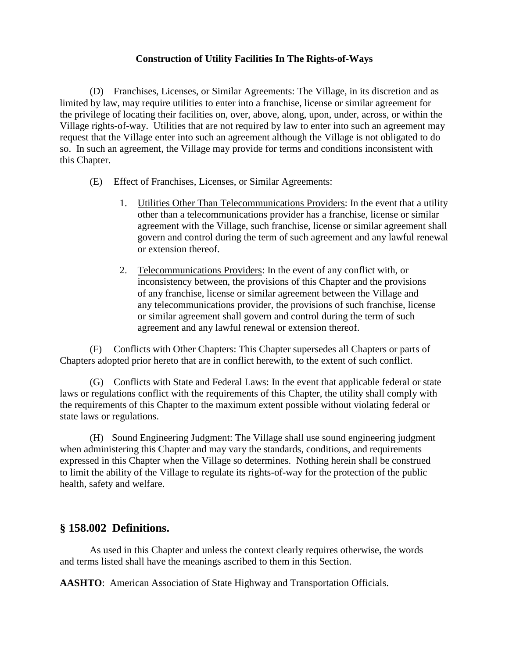(D) Franchises, Licenses, or Similar Agreements: The Village, in its discretion and as limited by law, may require utilities to enter into a franchise, license or similar agreement for the privilege of locating their facilities on, over, above, along, upon, under, across, or within the Village rights-of-way. Utilities that are not required by law to enter into such an agreement may request that the Village enter into such an agreement although the Village is not obligated to do so. In such an agreement, the Village may provide for terms and conditions inconsistent with this Chapter.

- (E) Effect of Franchises, Licenses, or Similar Agreements:
	- 1. Utilities Other Than Telecommunications Providers: In the event that a utility other than a telecommunications provider has a franchise, license or similar agreement with the Village, such franchise, license or similar agreement shall govern and control during the term of such agreement and any lawful renewal or extension thereof.
	- 2. Telecommunications Providers: In the event of any conflict with, or inconsistency between, the provisions of this Chapter and the provisions of any franchise, license or similar agreement between the Village and any telecommunications provider, the provisions of such franchise, license or similar agreement shall govern and control during the term of such agreement and any lawful renewal or extension thereof.

(F) Conflicts with Other Chapters: This Chapter supersedes all Chapters or parts of Chapters adopted prior hereto that are in conflict herewith, to the extent of such conflict.

(G) Conflicts with State and Federal Laws: In the event that applicable federal or state laws or regulations conflict with the requirements of this Chapter, the utility shall comply with the requirements of this Chapter to the maximum extent possible without violating federal or state laws or regulations.

(H) Sound Engineering Judgment: The Village shall use sound engineering judgment when administering this Chapter and may vary the standards, conditions, and requirements expressed in this Chapter when the Village so determines. Nothing herein shall be construed to limit the ability of the Village to regulate its rights-of-way for the protection of the public health, safety and welfare.

# **§ 158.002 Definitions.**

As used in this Chapter and unless the context clearly requires otherwise, the words and terms listed shall have the meanings ascribed to them in this Section.

**AASHTO**: American Association of State Highway and Transportation Officials.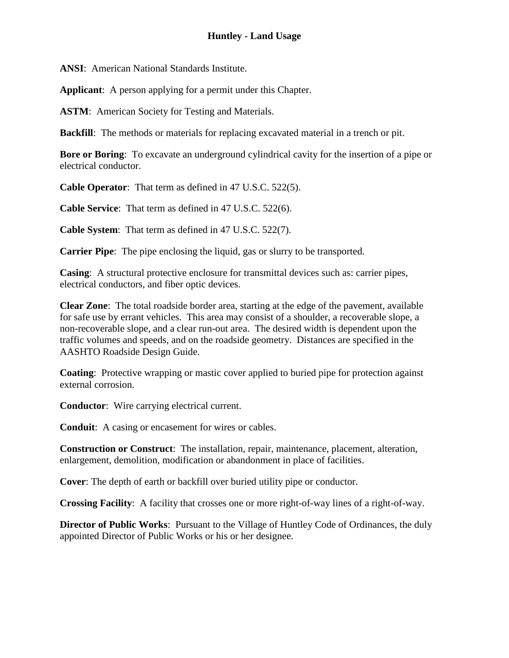**ANSI**: American National Standards Institute.

**Applicant**: A person applying for a permit under this Chapter.

ASTM: American Society for Testing and Materials.

**Backfill**: The methods or materials for replacing excavated material in a trench or pit.

**Bore or Boring**: To excavate an underground cylindrical cavity for the insertion of a pipe or electrical conductor.

**Cable Operator**: That term as defined in 47 U.S.C. 522(5).

**Cable Service**: That term as defined in 47 U.S.C. 522(6).

**Cable System**: That term as defined in 47 U.S.C. 522(7).

**Carrier Pipe**: The pipe enclosing the liquid, gas or slurry to be transported.

**Casing**: A structural protective enclosure for transmittal devices such as: carrier pipes, electrical conductors, and fiber optic devices.

**Clear Zone**: The total roadside border area, starting at the edge of the pavement, available for safe use by errant vehicles. This area may consist of a shoulder, a recoverable slope, a non-recoverable slope, and a clear run-out area. The desired width is dependent upon the traffic volumes and speeds, and on the roadside geometry. Distances are specified in the AASHTO Roadside Design Guide.

**Coating**: Protective wrapping or mastic cover applied to buried pipe for protection against external corrosion.

**Conductor**: Wire carrying electrical current.

**Conduit**: A casing or encasement for wires or cables.

**Construction or Construct**: The installation, repair, maintenance, placement, alteration, enlargement, demolition, modification or abandonment in place of facilities.

**Cover**: The depth of earth or backfill over buried utility pipe or conductor.

**Crossing Facility**: A facility that crosses one or more right-of-way lines of a right-of-way.

**Director of Public Works**: Pursuant to the Village of Huntley Code of Ordinances, the duly appointed Director of Public Works or his or her designee.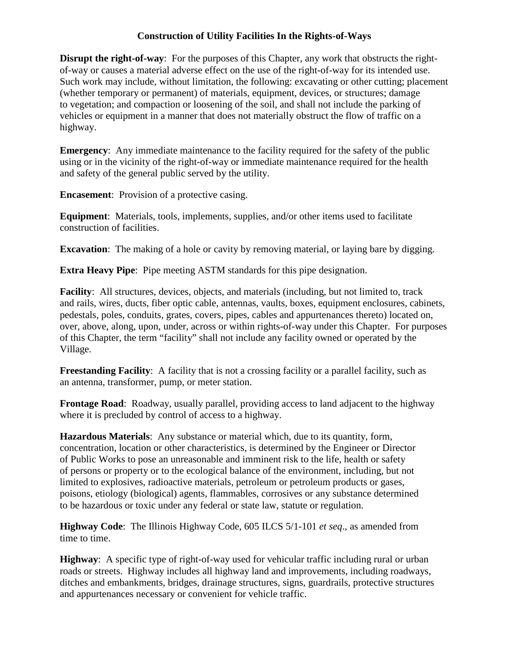**Disrupt the right-of-way**: For the purposes of this Chapter, any work that obstructs the rightof-way or causes a material adverse effect on the use of the right-of-way for its intended use. Such work may include, without limitation, the following: excavating or other cutting; placement (whether temporary or permanent) of materials, equipment, devices, or structures; damage to vegetation; and compaction or loosening of the soil, and shall not include the parking of vehicles or equipment in a manner that does not materially obstruct the flow of traffic on a highway.

**Emergency:** Any immediate maintenance to the facility required for the safety of the public using or in the vicinity of the right-of-way or immediate maintenance required for the health and safety of the general public served by the utility.

**Encasement**: Provision of a protective casing.

**Equipment**: Materials, tools, implements, supplies, and/or other items used to facilitate construction of facilities.

**Excavation**: The making of a hole or cavity by removing material, or laying bare by digging.

**Extra Heavy Pipe**: Pipe meeting ASTM standards for this pipe designation.

**Facility**: All structures, devices, objects, and materials (including, but not limited to, track and rails, wires, ducts, fiber optic cable, antennas, vaults, boxes, equipment enclosures, cabinets, pedestals, poles, conduits, grates, covers, pipes, cables and appurtenances thereto) located on, over, above, along, upon, under, across or within rights-of-way under this Chapter. For purposes of this Chapter, the term "facility" shall not include any facility owned or operated by the Village.

**Freestanding Facility:** A facility that is not a crossing facility or a parallel facility, such as an antenna, transformer, pump, or meter station.

**Frontage Road**: Roadway, usually parallel, providing access to land adjacent to the highway where it is precluded by control of access to a highway.

**Hazardous Materials**: Any substance or material which, due to its quantity, form, concentration, location or other characteristics, is determined by the Engineer or Director of Public Works to pose an unreasonable and imminent risk to the life, health or safety of persons or property or to the ecological balance of the environment, including, but not limited to explosives, radioactive materials, petroleum or petroleum products or gases, poisons, etiology (biological) agents, flammables, corrosives or any substance determined to be hazardous or toxic under any federal or state law, statute or regulation.

**Highway Code**: The Illinois Highway Code, 605 ILCS 5/1-101 *et seq*., as amended from time to time.

**Highway**: A specific type of right-of-way used for vehicular traffic including rural or urban roads or streets. Highway includes all highway land and improvements, including roadways, ditches and embankments, bridges, drainage structures, signs, guardrails, protective structures and appurtenances necessary or convenient for vehicle traffic.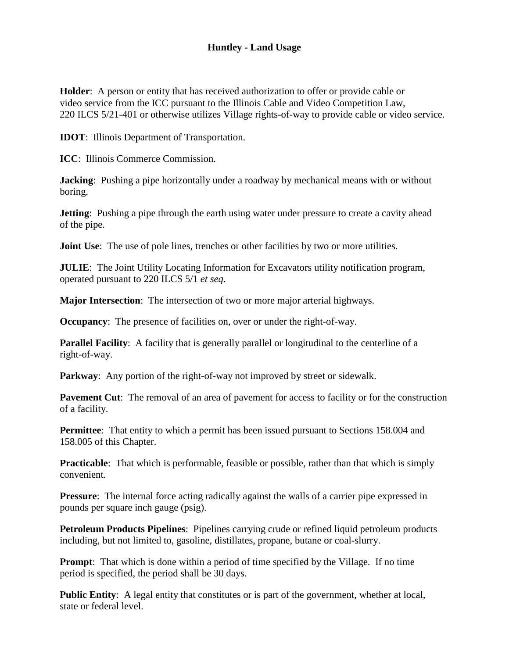### **Huntley - Land Usage**

**Holder**: A person or entity that has received authorization to offer or provide cable or video service from the ICC pursuant to the Illinois Cable and Video Competition Law, 220 ILCS 5/21-401 or otherwise utilizes Village rights-of-way to provide cable or video service.

**IDOT**: Illinois Department of Transportation.

**ICC**: Illinois Commerce Commission.

**Jacking**: Pushing a pipe horizontally under a roadway by mechanical means with or without boring.

**Jetting:** Pushing a pipe through the earth using water under pressure to create a cavity ahead of the pipe.

**Joint Use**: The use of pole lines, trenches or other facilities by two or more utilities.

**JULIE**: The Joint Utility Locating Information for Excavators utility notification program, operated pursuant to 220 ILCS 5/1 *et seq*.

**Major Intersection**: The intersection of two or more major arterial highways.

**Occupancy**: The presence of facilities on, over or under the right-of-way.

**Parallel Facility:** A facility that is generally parallel or longitudinal to the centerline of a right-of-way.

**Parkway:** Any portion of the right-of-way not improved by street or sidewalk.

**Pavement Cut**: The removal of an area of pavement for access to facility or for the construction of a facility.

**Permittee**: That entity to which a permit has been issued pursuant to Sections 158.004 and 158.005 of this Chapter.

**Practicable**: That which is performable, feasible or possible, rather than that which is simply convenient.

**Pressure:** The internal force acting radically against the walls of a carrier pipe expressed in pounds per square inch gauge (psig).

**Petroleum Products Pipelines**: Pipelines carrying crude or refined liquid petroleum products including, but not limited to, gasoline, distillates, propane, butane or coal-slurry.

**Prompt:** That which is done within a period of time specified by the Village. If no time period is specified, the period shall be 30 days.

**Public Entity:** A legal entity that constitutes or is part of the government, whether at local, state or federal level.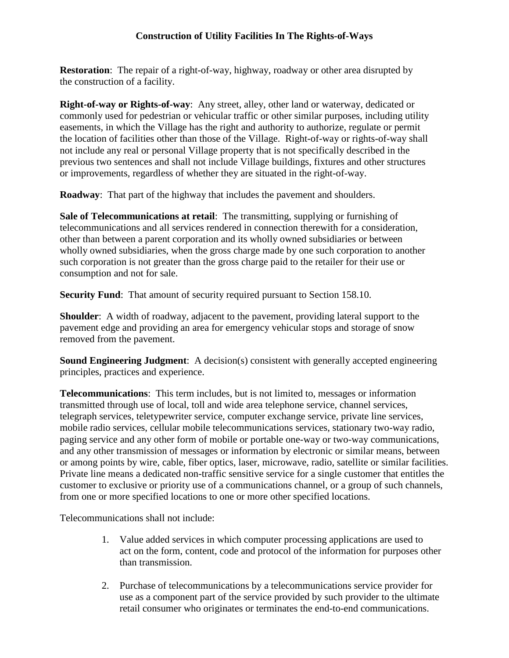**Restoration**: The repair of a right-of-way, highway, roadway or other area disrupted by the construction of a facility.

**Right-of-way or Rights-of-way**: Any street, alley, other land or waterway, dedicated or commonly used for pedestrian or vehicular traffic or other similar purposes, including utility easements, in which the Village has the right and authority to authorize, regulate or permit the location of facilities other than those of the Village. Right-of-way or rights-of-way shall not include any real or personal Village property that is not specifically described in the previous two sentences and shall not include Village buildings, fixtures and other structures or improvements, regardless of whether they are situated in the right-of-way.

**Roadway**: That part of the highway that includes the pavement and shoulders.

**Sale of Telecommunications at retail**: The transmitting, supplying or furnishing of telecommunications and all services rendered in connection therewith for a consideration, other than between a parent corporation and its wholly owned subsidiaries or between wholly owned subsidiaries, when the gross charge made by one such corporation to another such corporation is not greater than the gross charge paid to the retailer for their use or consumption and not for sale.

**Security Fund**: That amount of security required pursuant to Section 158.10.

**Shoulder**: A width of roadway, adjacent to the pavement, providing lateral support to the pavement edge and providing an area for emergency vehicular stops and storage of snow removed from the pavement.

**Sound Engineering Judgment**: A decision(s) consistent with generally accepted engineering principles, practices and experience.

**Telecommunications**: This term includes, but is not limited to, messages or information transmitted through use of local, toll and wide area telephone service, channel services, telegraph services, teletypewriter service, computer exchange service, private line services, mobile radio services, cellular mobile telecommunications services, stationary two-way radio, paging service and any other form of mobile or portable one-way or two-way communications, and any other transmission of messages or information by electronic or similar means, between or among points by wire, cable, fiber optics, laser, microwave, radio, satellite or similar facilities. Private line means a dedicated non-traffic sensitive service for a single customer that entitles the customer to exclusive or priority use of a communications channel, or a group of such channels, from one or more specified locations to one or more other specified locations.

Telecommunications shall not include:

- 1. Value added services in which computer processing applications are used to act on the form, content, code and protocol of the information for purposes other than transmission.
- 2. Purchase of telecommunications by a telecommunications service provider for use as a component part of the service provided by such provider to the ultimate retail consumer who originates or terminates the end-to-end communications.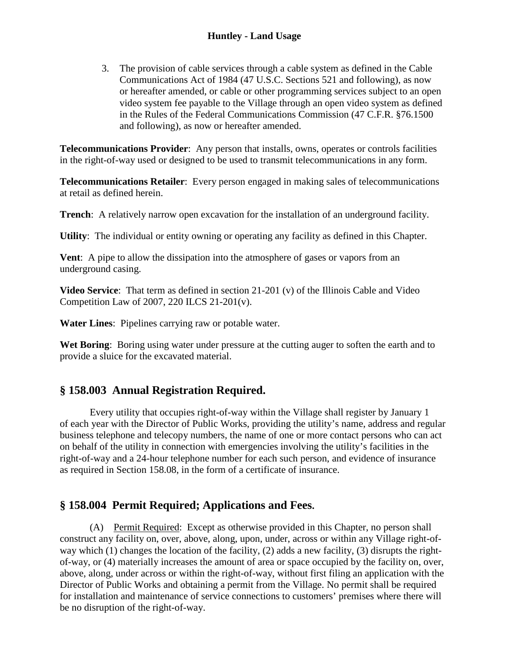3. The provision of cable services through a cable system as defined in the Cable Communications Act of 1984 (47 U.S.C. Sections 521 and following), as now or hereafter amended, or cable or other programming services subject to an open video system fee payable to the Village through an open video system as defined in the Rules of the Federal Communications Commission (47 C.F.R. §76.1500 and following), as now or hereafter amended.

**Telecommunications Provider**: Any person that installs, owns, operates or controls facilities in the right-of-way used or designed to be used to transmit telecommunications in any form.

**Telecommunications Retailer**: Every person engaged in making sales of telecommunications at retail as defined herein.

**Trench**: A relatively narrow open excavation for the installation of an underground facility.

**Utility**: The individual or entity owning or operating any facility as defined in this Chapter.

**Vent**: A pipe to allow the dissipation into the atmosphere of gases or vapors from an underground casing.

**Video Service**: That term as defined in section 21-201 (v) of the Illinois Cable and Video Competition Law of 2007, 220 ILCS 21-201(v).

**Water Lines**: Pipelines carrying raw or potable water.

**Wet Boring**: Boring using water under pressure at the cutting auger to soften the earth and to provide a sluice for the excavated material.

# **§ 158.003 Annual Registration Required.**

Every utility that occupies right-of-way within the Village shall register by January 1 of each year with the Director of Public Works, providing the utility's name, address and regular business telephone and telecopy numbers, the name of one or more contact persons who can act on behalf of the utility in connection with emergencies involving the utility's facilities in the right-of-way and a 24-hour telephone number for each such person, and evidence of insurance as required in Section 158.08, in the form of a certificate of insurance.

# **§ 158.004 Permit Required; Applications and Fees.**

(A) Permit Required: Except as otherwise provided in this Chapter, no person shall construct any facility on, over, above, along, upon, under, across or within any Village right-ofway which (1) changes the location of the facility, (2) adds a new facility, (3) disrupts the rightof-way, or (4) materially increases the amount of area or space occupied by the facility on, over, above, along, under across or within the right-of-way, without first filing an application with the Director of Public Works and obtaining a permit from the Village. No permit shall be required for installation and maintenance of service connections to customers' premises where there will be no disruption of the right-of-way.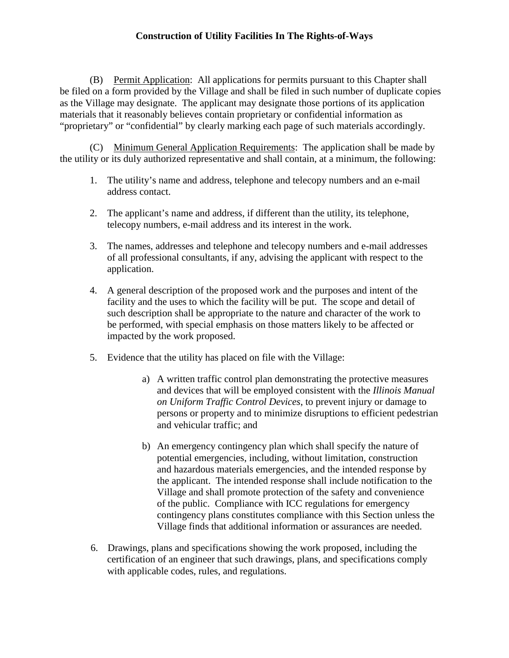(B) Permit Application: All applications for permits pursuant to this Chapter shall be filed on a form provided by the Village and shall be filed in such number of duplicate copies as the Village may designate. The applicant may designate those portions of its application materials that it reasonably believes contain proprietary or confidential information as "proprietary" or "confidential" by clearly marking each page of such materials accordingly.

(C) Minimum General Application Requirements: The application shall be made by the utility or its duly authorized representative and shall contain, at a minimum, the following:

- 1. The utility's name and address, telephone and telecopy numbers and an e-mail address contact.
- 2. The applicant's name and address, if different than the utility, its telephone, telecopy numbers, e-mail address and its interest in the work.
- 3. The names, addresses and telephone and telecopy numbers and e-mail addresses of all professional consultants, if any, advising the applicant with respect to the application.
- 4. A general description of the proposed work and the purposes and intent of the facility and the uses to which the facility will be put. The scope and detail of such description shall be appropriate to the nature and character of the work to be performed, with special emphasis on those matters likely to be affected or impacted by the work proposed.
- 5. Evidence that the utility has placed on file with the Village:
	- a) A written traffic control plan demonstrating the protective measures and devices that will be employed consistent with the *Illinois Manual on Uniform Traffic Control Devices*, to prevent injury or damage to persons or property and to minimize disruptions to efficient pedestrian and vehicular traffic; and
	- b) An emergency contingency plan which shall specify the nature of potential emergencies, including, without limitation, construction and hazardous materials emergencies, and the intended response by the applicant. The intended response shall include notification to the Village and shall promote protection of the safety and convenience of the public. Compliance with ICC regulations for emergency contingency plans constitutes compliance with this Section unless the Village finds that additional information or assurances are needed.
- 6. Drawings, plans and specifications showing the work proposed, including the certification of an engineer that such drawings, plans, and specifications comply with applicable codes, rules, and regulations.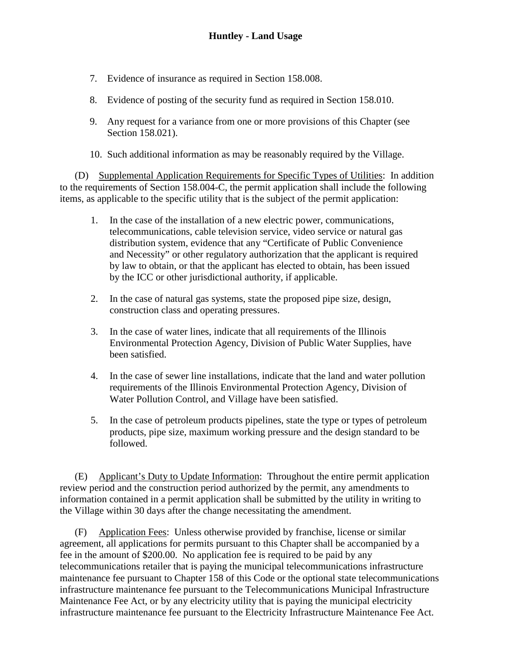- 7. Evidence of insurance as required in Section 158.008.
- 8. Evidence of posting of the security fund as required in Section 158.010.
- 9. Any request for a variance from one or more provisions of this Chapter (see Section 158.021).
- 10. Such additional information as may be reasonably required by the Village.

(D) Supplemental Application Requirements for Specific Types of Utilities: In addition to the requirements of Section 158.004-C, the permit application shall include the following items, as applicable to the specific utility that is the subject of the permit application:

- 1. In the case of the installation of a new electric power, communications, telecommunications, cable television service, video service or natural gas distribution system, evidence that any "Certificate of Public Convenience and Necessity" or other regulatory authorization that the applicant is required by law to obtain, or that the applicant has elected to obtain, has been issued by the ICC or other jurisdictional authority, if applicable.
- 2. In the case of natural gas systems, state the proposed pipe size, design, construction class and operating pressures.
- 3. In the case of water lines, indicate that all requirements of the Illinois Environmental Protection Agency, Division of Public Water Supplies, have been satisfied.
- 4. In the case of sewer line installations, indicate that the land and water pollution requirements of the Illinois Environmental Protection Agency, Division of Water Pollution Control, and Village have been satisfied.
- 5. In the case of petroleum products pipelines, state the type or types of petroleum products, pipe size, maximum working pressure and the design standard to be followed.

(E) Applicant's Duty to Update Information: Throughout the entire permit application review period and the construction period authorized by the permit, any amendments to information contained in a permit application shall be submitted by the utility in writing to the Village within 30 days after the change necessitating the amendment.

(F) Application Fees: Unless otherwise provided by franchise, license or similar agreement, all applications for permits pursuant to this Chapter shall be accompanied by a fee in the amount of \$200.00. No application fee is required to be paid by any telecommunications retailer that is paying the municipal telecommunications infrastructure maintenance fee pursuant to Chapter 158 of this Code or the optional state telecommunications infrastructure maintenance fee pursuant to the Telecommunications Municipal Infrastructure Maintenance Fee Act, or by any electricity utility that is paying the municipal electricity infrastructure maintenance fee pursuant to the Electricity Infrastructure Maintenance Fee Act.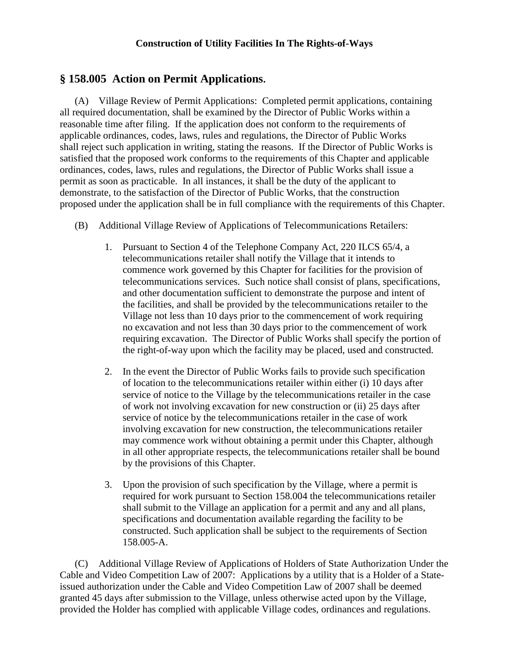# **§ 158.005 Action on Permit Applications.**

(A) Village Review of Permit Applications: Completed permit applications, containing all required documentation, shall be examined by the Director of Public Works within a reasonable time after filing. If the application does not conform to the requirements of applicable ordinances, codes, laws, rules and regulations, the Director of Public Works shall reject such application in writing, stating the reasons. If the Director of Public Works is satisfied that the proposed work conforms to the requirements of this Chapter and applicable ordinances, codes, laws, rules and regulations, the Director of Public Works shall issue a permit as soon as practicable. In all instances, it shall be the duty of the applicant to demonstrate, to the satisfaction of the Director of Public Works, that the construction proposed under the application shall be in full compliance with the requirements of this Chapter.

- (B) Additional Village Review of Applications of Telecommunications Retailers:
	- 1. Pursuant to Section 4 of the Telephone Company Act, 220 ILCS 65/4, a telecommunications retailer shall notify the Village that it intends to commence work governed by this Chapter for facilities for the provision of telecommunications services. Such notice shall consist of plans, specifications, and other documentation sufficient to demonstrate the purpose and intent of the facilities, and shall be provided by the telecommunications retailer to the Village not less than 10 days prior to the commencement of work requiring no excavation and not less than 30 days prior to the commencement of work requiring excavation. The Director of Public Works shall specify the portion of the right-of-way upon which the facility may be placed, used and constructed.
	- 2. In the event the Director of Public Works fails to provide such specification of location to the telecommunications retailer within either (i) 10 days after service of notice to the Village by the telecommunications retailer in the case of work not involving excavation for new construction or (ii) 25 days after service of notice by the telecommunications retailer in the case of work involving excavation for new construction, the telecommunications retailer may commence work without obtaining a permit under this Chapter, although in all other appropriate respects, the telecommunications retailer shall be bound by the provisions of this Chapter.
	- 3. Upon the provision of such specification by the Village, where a permit is required for work pursuant to Section 158.004 the telecommunications retailer shall submit to the Village an application for a permit and any and all plans, specifications and documentation available regarding the facility to be constructed. Such application shall be subject to the requirements of Section 158.005-A.

(C) Additional Village Review of Applications of Holders of State Authorization Under the Cable and Video Competition Law of 2007: Applications by a utility that is a Holder of a Stateissued authorization under the Cable and Video Competition Law of 2007 shall be deemed granted 45 days after submission to the Village, unless otherwise acted upon by the Village, provided the Holder has complied with applicable Village codes, ordinances and regulations.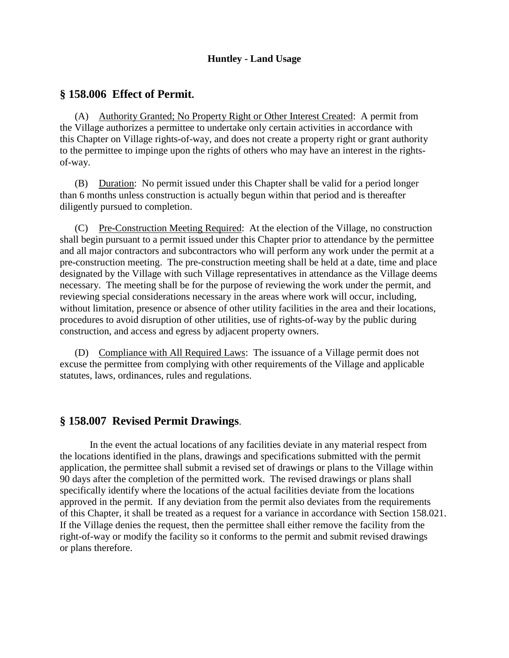#### **Huntley - Land Usage**

### **§ 158.006 Effect of Permit.**

(A) Authority Granted; No Property Right or Other Interest Created: A permit from the Village authorizes a permittee to undertake only certain activities in accordance with this Chapter on Village rights-of-way, and does not create a property right or grant authority to the permittee to impinge upon the rights of others who may have an interest in the rightsof-way.

(B) Duration: No permit issued under this Chapter shall be valid for a period longer than 6 months unless construction is actually begun within that period and is thereafter diligently pursued to completion.

(C) Pre-Construction Meeting Required: At the election of the Village, no construction shall begin pursuant to a permit issued under this Chapter prior to attendance by the permittee and all major contractors and subcontractors who will perform any work under the permit at a pre-construction meeting. The pre-construction meeting shall be held at a date, time and place designated by the Village with such Village representatives in attendance as the Village deems necessary. The meeting shall be for the purpose of reviewing the work under the permit, and reviewing special considerations necessary in the areas where work will occur, including, without limitation, presence or absence of other utility facilities in the area and their locations, procedures to avoid disruption of other utilities, use of rights-of-way by the public during construction, and access and egress by adjacent property owners.

(D) Compliance with All Required Laws: The issuance of a Village permit does not excuse the permittee from complying with other requirements of the Village and applicable statutes, laws, ordinances, rules and regulations.

### **§ 158.007 Revised Permit Drawings**.

In the event the actual locations of any facilities deviate in any material respect from the locations identified in the plans, drawings and specifications submitted with the permit application, the permittee shall submit a revised set of drawings or plans to the Village within 90 days after the completion of the permitted work. The revised drawings or plans shall specifically identify where the locations of the actual facilities deviate from the locations approved in the permit. If any deviation from the permit also deviates from the requirements of this Chapter, it shall be treated as a request for a variance in accordance with Section 158.021. If the Village denies the request, then the permittee shall either remove the facility from the right-of-way or modify the facility so it conforms to the permit and submit revised drawings or plans therefore.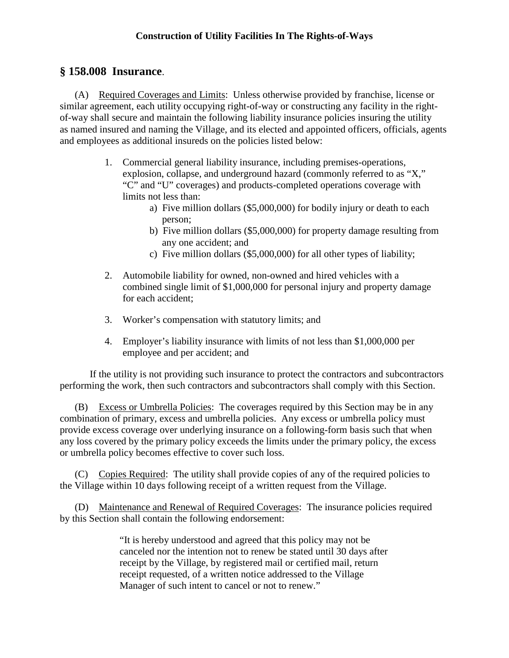# **§ 158.008 Insurance**.

(A) Required Coverages and Limits: Unless otherwise provided by franchise, license or similar agreement, each utility occupying right-of-way or constructing any facility in the rightof-way shall secure and maintain the following liability insurance policies insuring the utility as named insured and naming the Village, and its elected and appointed officers, officials, agents and employees as additional insureds on the policies listed below:

- 1. Commercial general liability insurance, including premises-operations, explosion, collapse, and underground hazard (commonly referred to as "X," "C" and "U" coverages) and products-completed operations coverage with limits not less than:
	- a) Five million dollars (\$5,000,000) for bodily injury or death to each person;
	- b) Five million dollars (\$5,000,000) for property damage resulting from any one accident; and
	- c) Five million dollars (\$5,000,000) for all other types of liability;
- 2. Automobile liability for owned, non-owned and hired vehicles with a combined single limit of \$1,000,000 for personal injury and property damage for each accident;
- 3. Worker's compensation with statutory limits; and
- 4. Employer's liability insurance with limits of not less than \$1,000,000 per employee and per accident; and

If the utility is not providing such insurance to protect the contractors and subcontractors performing the work, then such contractors and subcontractors shall comply with this Section.

(B) Excess or Umbrella Policies: The coverages required by this Section may be in any combination of primary, excess and umbrella policies. Any excess or umbrella policy must provide excess coverage over underlying insurance on a following-form basis such that when any loss covered by the primary policy exceeds the limits under the primary policy, the excess or umbrella policy becomes effective to cover such loss.

(C) Copies Required: The utility shall provide copies of any of the required policies to the Village within 10 days following receipt of a written request from the Village.

(D) Maintenance and Renewal of Required Coverages: The insurance policies required by this Section shall contain the following endorsement:

> "It is hereby understood and agreed that this policy may not be canceled nor the intention not to renew be stated until 30 days after receipt by the Village, by registered mail or certified mail, return receipt requested, of a written notice addressed to the Village Manager of such intent to cancel or not to renew."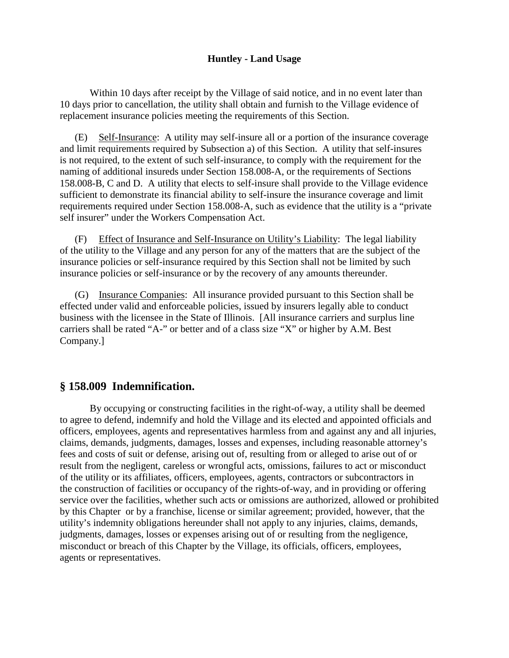#### **Huntley - Land Usage**

Within 10 days after receipt by the Village of said notice, and in no event later than 10 days prior to cancellation, the utility shall obtain and furnish to the Village evidence of replacement insurance policies meeting the requirements of this Section.

Self-Insurance: A utility may self-insure all or a portion of the insurance coverage and limit requirements required by Subsection a) of this Section. A utility that self-insures is not required, to the extent of such self-insurance, to comply with the requirement for the naming of additional insureds under Section 158.008-A, or the requirements of Sections 158.008-B, C and D. A utility that elects to self-insure shall provide to the Village evidence sufficient to demonstrate its financial ability to self-insure the insurance coverage and limit requirements required under Section 158.008-A, such as evidence that the utility is a "private self insurer" under the Workers Compensation Act.

(F) Effect of Insurance and Self-Insurance on Utility's Liability: The legal liability of the utility to the Village and any person for any of the matters that are the subject of the insurance policies or self-insurance required by this Section shall not be limited by such insurance policies or self-insurance or by the recovery of any amounts thereunder.

(G) Insurance Companies: All insurance provided pursuant to this Section shall be effected under valid and enforceable policies, issued by insurers legally able to conduct business with the licensee in the State of Illinois. [All insurance carriers and surplus line carriers shall be rated "A-" or better and of a class size "X" or higher by A.M. Best Company.]

# **§ 158.009 Indemnification.**

By occupying or constructing facilities in the right-of-way, a utility shall be deemed to agree to defend, indemnify and hold the Village and its elected and appointed officials and officers, employees, agents and representatives harmless from and against any and all injuries, claims, demands, judgments, damages, losses and expenses, including reasonable attorney's fees and costs of suit or defense, arising out of, resulting from or alleged to arise out of or result from the negligent, careless or wrongful acts, omissions, failures to act or misconduct of the utility or its affiliates, officers, employees, agents, contractors or subcontractors in the construction of facilities or occupancy of the rights-of-way, and in providing or offering service over the facilities, whether such acts or omissions are authorized, allowed or prohibited by this Chapter or by a franchise, license or similar agreement; provided, however, that the utility's indemnity obligations hereunder shall not apply to any injuries, claims, demands, judgments, damages, losses or expenses arising out of or resulting from the negligence, misconduct or breach of this Chapter by the Village, its officials, officers, employees, agents or representatives.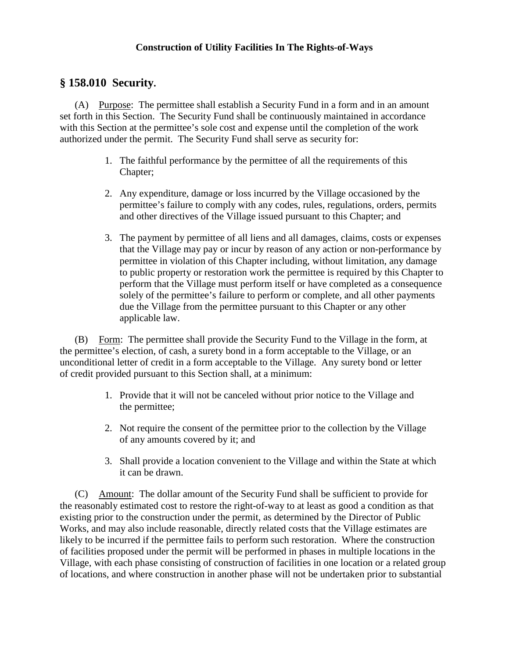# **§ 158.010 Security.**

(A) Purpose: The permittee shall establish a Security Fund in a form and in an amount set forth in this Section. The Security Fund shall be continuously maintained in accordance with this Section at the permittee's sole cost and expense until the completion of the work authorized under the permit. The Security Fund shall serve as security for:

- 1. The faithful performance by the permittee of all the requirements of this Chapter;
- 2. Any expenditure, damage or loss incurred by the Village occasioned by the permittee's failure to comply with any codes, rules, regulations, orders, permits and other directives of the Village issued pursuant to this Chapter; and
- 3. The payment by permittee of all liens and all damages, claims, costs or expenses that the Village may pay or incur by reason of any action or non-performance by permittee in violation of this Chapter including, without limitation, any damage to public property or restoration work the permittee is required by this Chapter to perform that the Village must perform itself or have completed as a consequence solely of the permittee's failure to perform or complete, and all other payments due the Village from the permittee pursuant to this Chapter or any other applicable law.

(B) Form: The permittee shall provide the Security Fund to the Village in the form, at the permittee's election, of cash, a surety bond in a form acceptable to the Village, or an unconditional letter of credit in a form acceptable to the Village. Any surety bond or letter of credit provided pursuant to this Section shall, at a minimum:

- 1. Provide that it will not be canceled without prior notice to the Village and the permittee;
- 2. Not require the consent of the permittee prior to the collection by the Village of any amounts covered by it; and
- 3. Shall provide a location convenient to the Village and within the State at which it can be drawn.

(C) Amount: The dollar amount of the Security Fund shall be sufficient to provide for the reasonably estimated cost to restore the right-of-way to at least as good a condition as that existing prior to the construction under the permit, as determined by the Director of Public Works, and may also include reasonable, directly related costs that the Village estimates are likely to be incurred if the permittee fails to perform such restoration. Where the construction of facilities proposed under the permit will be performed in phases in multiple locations in the Village, with each phase consisting of construction of facilities in one location or a related group of locations, and where construction in another phase will not be undertaken prior to substantial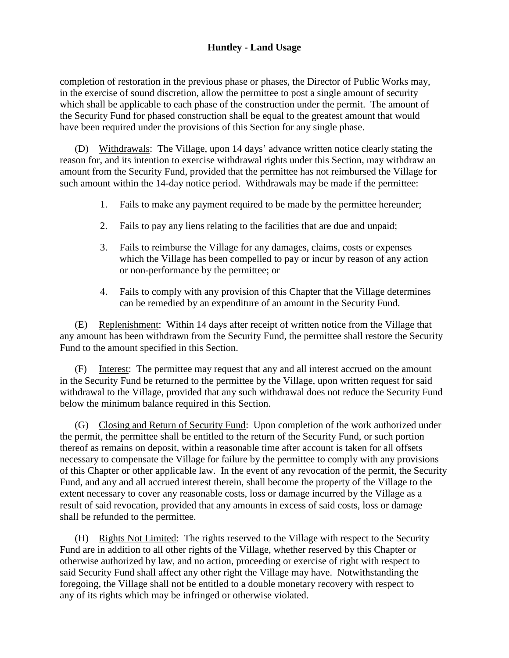### **Huntley - Land Usage**

completion of restoration in the previous phase or phases, the Director of Public Works may, in the exercise of sound discretion, allow the permittee to post a single amount of security which shall be applicable to each phase of the construction under the permit. The amount of the Security Fund for phased construction shall be equal to the greatest amount that would have been required under the provisions of this Section for any single phase.

(D) Withdrawals: The Village, upon 14 days' advance written notice clearly stating the reason for, and its intention to exercise withdrawal rights under this Section, may withdraw an amount from the Security Fund, provided that the permittee has not reimbursed the Village for such amount within the 14-day notice period. Withdrawals may be made if the permittee:

- 1. Fails to make any payment required to be made by the permittee hereunder;
- 2. Fails to pay any liens relating to the facilities that are due and unpaid;
- 3. Fails to reimburse the Village for any damages, claims, costs or expenses which the Village has been compelled to pay or incur by reason of any action or non-performance by the permittee; or
- 4. Fails to comply with any provision of this Chapter that the Village determines can be remedied by an expenditure of an amount in the Security Fund.

(E) Replenishment: Within 14 days after receipt of written notice from the Village that any amount has been withdrawn from the Security Fund, the permittee shall restore the Security Fund to the amount specified in this Section.

(F) Interest: The permittee may request that any and all interest accrued on the amount in the Security Fund be returned to the permittee by the Village, upon written request for said withdrawal to the Village, provided that any such withdrawal does not reduce the Security Fund below the minimum balance required in this Section.

(G) Closing and Return of Security Fund: Upon completion of the work authorized under the permit, the permittee shall be entitled to the return of the Security Fund, or such portion thereof as remains on deposit, within a reasonable time after account is taken for all offsets necessary to compensate the Village for failure by the permittee to comply with any provisions of this Chapter or other applicable law. In the event of any revocation of the permit, the Security Fund, and any and all accrued interest therein, shall become the property of the Village to the extent necessary to cover any reasonable costs, loss or damage incurred by the Village as a result of said revocation, provided that any amounts in excess of said costs, loss or damage shall be refunded to the permittee.

(H) Rights Not Limited: The rights reserved to the Village with respect to the Security Fund are in addition to all other rights of the Village, whether reserved by this Chapter or otherwise authorized by law, and no action, proceeding or exercise of right with respect to said Security Fund shall affect any other right the Village may have. Notwithstanding the foregoing, the Village shall not be entitled to a double monetary recovery with respect to any of its rights which may be infringed or otherwise violated.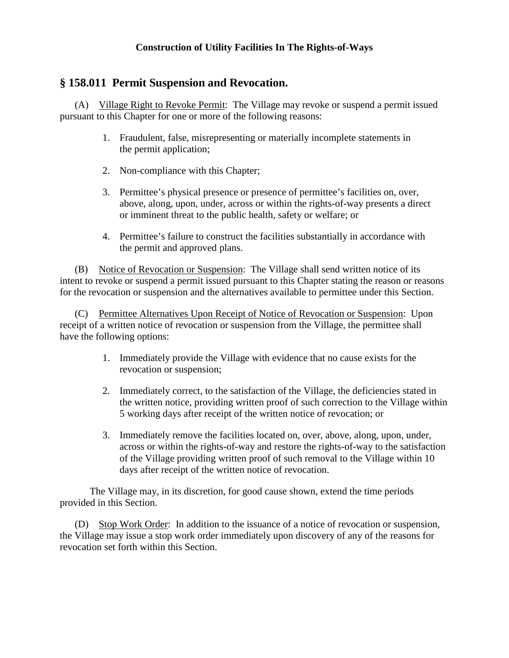# **§ 158.011 Permit Suspension and Revocation.**

(A) Village Right to Revoke Permit: The Village may revoke or suspend a permit issued pursuant to this Chapter for one or more of the following reasons:

- 1. Fraudulent, false, misrepresenting or materially incomplete statements in the permit application;
- 2. Non-compliance with this Chapter;
- 3. Permittee's physical presence or presence of permittee's facilities on, over, above, along, upon, under, across or within the rights-of-way presents a direct or imminent threat to the public health, safety or welfare; or
- 4. Permittee's failure to construct the facilities substantially in accordance with the permit and approved plans.

(B) Notice of Revocation or Suspension: The Village shall send written notice of its intent to revoke or suspend a permit issued pursuant to this Chapter stating the reason or reasons for the revocation or suspension and the alternatives available to permittee under this Section.

(C) Permittee Alternatives Upon Receipt of Notice of Revocation or Suspension: Upon receipt of a written notice of revocation or suspension from the Village, the permittee shall have the following options:

- 1. Immediately provide the Village with evidence that no cause exists for the revocation or suspension;
- 2. Immediately correct, to the satisfaction of the Village, the deficiencies stated in the written notice, providing written proof of such correction to the Village within 5 working days after receipt of the written notice of revocation; or
- 3. Immediately remove the facilities located on, over, above, along, upon, under, across or within the rights-of-way and restore the rights-of-way to the satisfaction of the Village providing written proof of such removal to the Village within 10 days after receipt of the written notice of revocation.

The Village may, in its discretion, for good cause shown, extend the time periods provided in this Section.

(D) Stop Work Order: In addition to the issuance of a notice of revocation or suspension, the Village may issue a stop work order immediately upon discovery of any of the reasons for revocation set forth within this Section.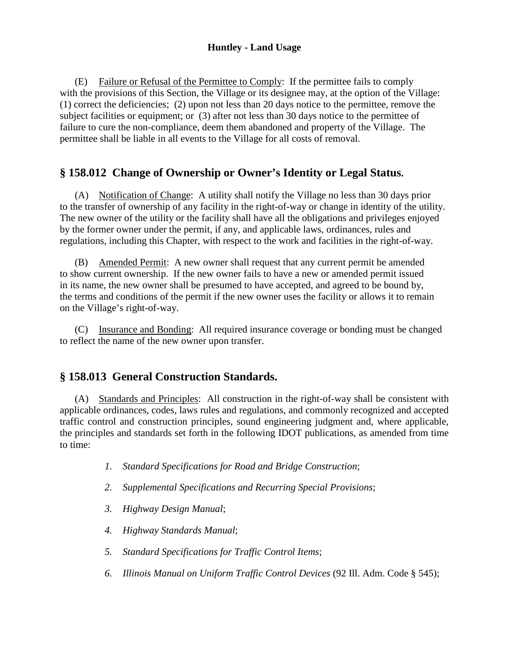### **Huntley - Land Usage**

(E) Failure or Refusal of the Permittee to Comply: If the permittee fails to comply with the provisions of this Section, the Village or its designee may, at the option of the Village: (1) correct the deficiencies; (2) upon not less than 20 days notice to the permittee, remove the subject facilities or equipment; or (3) after not less than 30 days notice to the permittee of failure to cure the non-compliance, deem them abandoned and property of the Village. The permittee shall be liable in all events to the Village for all costs of removal.

# **§ 158.012 Change of Ownership or Owner's Identity or Legal Status.**

(A) Notification of Change: A utility shall notify the Village no less than 30 days prior to the transfer of ownership of any facility in the right-of-way or change in identity of the utility. The new owner of the utility or the facility shall have all the obligations and privileges enjoyed by the former owner under the permit, if any, and applicable laws, ordinances, rules and regulations, including this Chapter, with respect to the work and facilities in the right-of-way.

(B) Amended Permit: A new owner shall request that any current permit be amended to show current ownership. If the new owner fails to have a new or amended permit issued in its name, the new owner shall be presumed to have accepted, and agreed to be bound by, the terms and conditions of the permit if the new owner uses the facility or allows it to remain on the Village's right-of-way.

(C) Insurance and Bonding: All required insurance coverage or bonding must be changed to reflect the name of the new owner upon transfer.

# **§ 158.013 General Construction Standards.**

(A) Standards and Principles: All construction in the right-of-way shall be consistent with applicable ordinances, codes, laws rules and regulations, and commonly recognized and accepted traffic control and construction principles, sound engineering judgment and, where applicable, the principles and standards set forth in the following IDOT publications, as amended from time to time:

- *1. Standard Specifications for Road and Bridge Construction*;
- *2. Supplemental Specifications and Recurring Special Provisions*;
- *3. Highway Design Manual*;
- *4. Highway Standards Manual*;
- *5. Standard Specifications for Traffic Control Items*;
- *6. Illinois Manual on Uniform Traffic Control Devices* (92 Ill. Adm. Code § 545);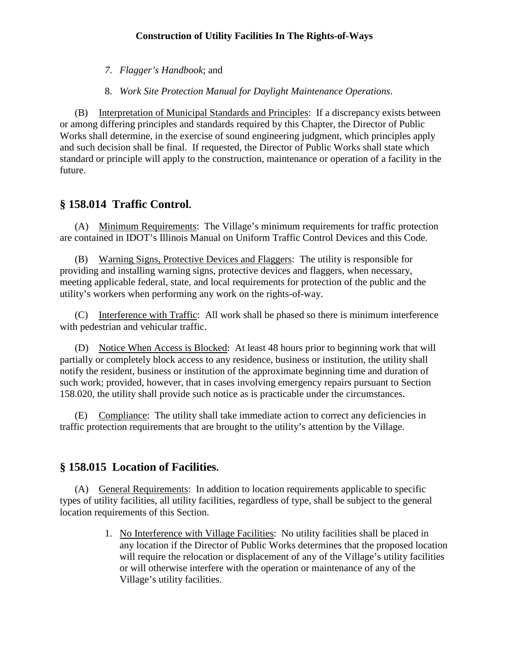*7*. *Flagger's Handbook*; and

8. *Work Site Protection Manual for Daylight Maintenance Operations*.

(B) Interpretation of Municipal Standards and Principles: If a discrepancy exists between or among differing principles and standards required by this Chapter, the Director of Public Works shall determine, in the exercise of sound engineering judgment, which principles apply and such decision shall be final. If requested, the Director of Public Works shall state which standard or principle will apply to the construction, maintenance or operation of a facility in the future.

# **§ 158.014 Traffic Control.**

(A) Minimum Requirements: The Village's minimum requirements for traffic protection are contained in IDOT's Illinois Manual on Uniform Traffic Control Devices and this Code.

(B) Warning Signs, Protective Devices and Flaggers: The utility is responsible for providing and installing warning signs, protective devices and flaggers, when necessary, meeting applicable federal, state, and local requirements for protection of the public and the utility's workers when performing any work on the rights-of-way.

(C) Interference with Traffic: All work shall be phased so there is minimum interference with pedestrian and vehicular traffic.

(D) Notice When Access is Blocked: At least 48 hours prior to beginning work that will partially or completely block access to any residence, business or institution, the utility shall notify the resident, business or institution of the approximate beginning time and duration of such work; provided, however, that in cases involving emergency repairs pursuant to Section 158.020, the utility shall provide such notice as is practicable under the circumstances.

(E) Compliance: The utility shall take immediate action to correct any deficiencies in traffic protection requirements that are brought to the utility's attention by the Village.

# **§ 158.015 Location of Facilities.**

(A) General Requirements: In addition to location requirements applicable to specific types of utility facilities, all utility facilities, regardless of type, shall be subject to the general location requirements of this Section.

> 1. No Interference with Village Facilities: No utility facilities shall be placed in any location if the Director of Public Works determines that the proposed location will require the relocation or displacement of any of the Village's utility facilities or will otherwise interfere with the operation or maintenance of any of the Village's utility facilities.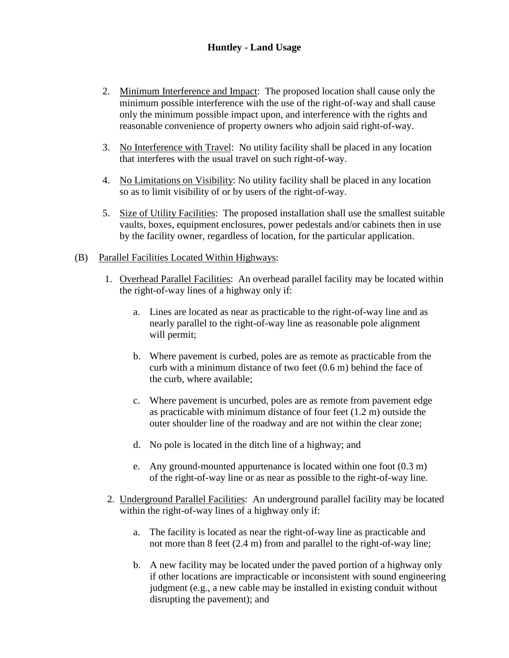### **Huntley - Land Usage**

- 2. Minimum Interference and Impact: The proposed location shall cause only the minimum possible interference with the use of the right-of-way and shall cause only the minimum possible impact upon, and interference with the rights and reasonable convenience of property owners who adjoin said right-of-way.
- 3. No Interference with Travel: No utility facility shall be placed in any location that interferes with the usual travel on such right-of-way.
- 4. No Limitations on Visibility: No utility facility shall be placed in any location so as to limit visibility of or by users of the right-of-way.
- 5. Size of Utility Facilities: The proposed installation shall use the smallest suitable vaults, boxes, equipment enclosures, power pedestals and/or cabinets then in use by the facility owner, regardless of location, for the particular application.

#### (B) Parallel Facilities Located Within Highways:

- 1. Overhead Parallel Facilities: An overhead parallel facility may be located within the right-of-way lines of a highway only if:
	- a. Lines are located as near as practicable to the right-of-way line and as nearly parallel to the right-of-way line as reasonable pole alignment will permit;
	- b. Where pavement is curbed, poles are as remote as practicable from the curb with a minimum distance of two feet (0.6 m) behind the face of the curb, where available;
	- c. Where pavement is uncurbed, poles are as remote from pavement edge as practicable with minimum distance of four feet (1.2 m) outside the outer shoulder line of the roadway and are not within the clear zone;
	- d. No pole is located in the ditch line of a highway; and
	- e. Any ground-mounted appurtenance is located within one foot (0.3 m) of the right-of-way line or as near as possible to the right-of-way line.
- 2. Underground Parallel Facilities: An underground parallel facility may be located within the right-of-way lines of a highway only if:
	- a. The facility is located as near the right-of-way line as practicable and not more than 8 feet (2.4 m) from and parallel to the right-of-way line;
	- b. A new facility may be located under the paved portion of a highway only if other locations are impracticable or inconsistent with sound engineering judgment (e.g., a new cable may be installed in existing conduit without disrupting the pavement); and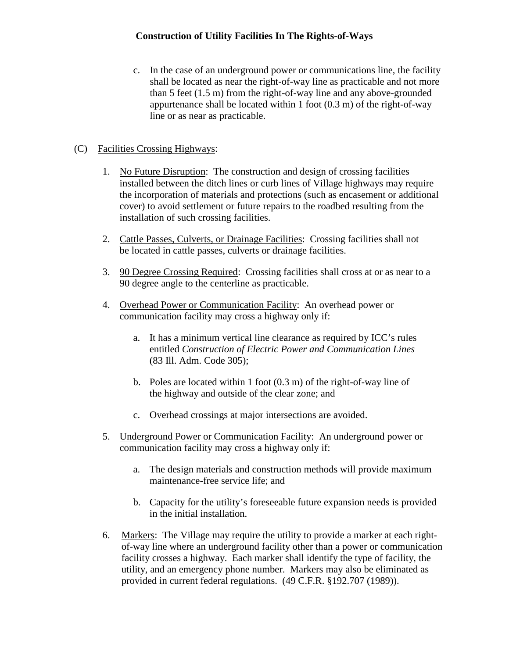c. In the case of an underground power or communications line, the facility shall be located as near the right-of-way line as practicable and not more than 5 feet (1.5 m) from the right-of-way line and any above-grounded appurtenance shall be located within 1 foot (0.3 m) of the right-of-way line or as near as practicable.

### (C) Facilities Crossing Highways:

- 1. No Future Disruption: The construction and design of crossing facilities installed between the ditch lines or curb lines of Village highways may require the incorporation of materials and protections (such as encasement or additional cover) to avoid settlement or future repairs to the roadbed resulting from the installation of such crossing facilities.
- 2. Cattle Passes, Culverts, or Drainage Facilities: Crossing facilities shall not be located in cattle passes, culverts or drainage facilities.
- 3. 90 Degree Crossing Required: Crossing facilities shall cross at or as near to a 90 degree angle to the centerline as practicable.
- 4. Overhead Power or Communication Facility: An overhead power or communication facility may cross a highway only if:
	- a. It has a minimum vertical line clearance as required by ICC's rules entitled *Construction of Electric Power and Communication Lines* (83 Ill. Adm. Code 305);
	- b. Poles are located within 1 foot (0.3 m) of the right-of-way line of the highway and outside of the clear zone; and
	- c. Overhead crossings at major intersections are avoided.
- 5. Underground Power or Communication Facility: An underground power or communication facility may cross a highway only if:
	- a. The design materials and construction methods will provide maximum maintenance-free service life; and
	- b. Capacity for the utility's foreseeable future expansion needs is provided in the initial installation.
- 6. Markers: The Village may require the utility to provide a marker at each rightof-way line where an underground facility other than a power or communication facility crosses a highway. Each marker shall identify the type of facility, the utility, and an emergency phone number. Markers may also be eliminated as provided in current federal regulations. (49 C.F.R. §192.707 (1989)).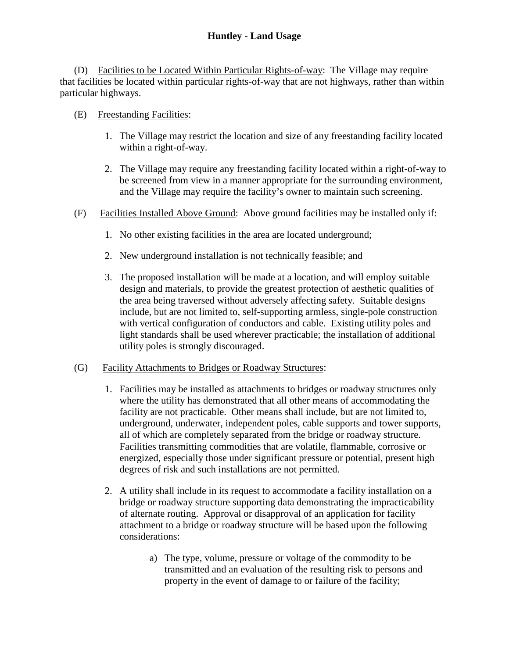(D) Facilities to be Located Within Particular Rights-of-way: The Village may require that facilities be located within particular rights-of-way that are not highways, rather than within particular highways.

### (E) Freestanding Facilities:

- 1. The Village may restrict the location and size of any freestanding facility located within a right-of-way.
- 2. The Village may require any freestanding facility located within a right-of-way to be screened from view in a manner appropriate for the surrounding environment, and the Village may require the facility's owner to maintain such screening.
- (F) Facilities Installed Above Ground: Above ground facilities may be installed only if:
	- 1. No other existing facilities in the area are located underground;
	- 2. New underground installation is not technically feasible; and
	- 3. The proposed installation will be made at a location, and will employ suitable design and materials, to provide the greatest protection of aesthetic qualities of the area being traversed without adversely affecting safety. Suitable designs include, but are not limited to, self-supporting armless, single-pole construction with vertical configuration of conductors and cable. Existing utility poles and light standards shall be used wherever practicable; the installation of additional utility poles is strongly discouraged.
- (G) Facility Attachments to Bridges or Roadway Structures:
	- 1. Facilities may be installed as attachments to bridges or roadway structures only where the utility has demonstrated that all other means of accommodating the facility are not practicable. Other means shall include, but are not limited to, underground, underwater, independent poles, cable supports and tower supports, all of which are completely separated from the bridge or roadway structure. Facilities transmitting commodities that are volatile, flammable, corrosive or energized, especially those under significant pressure or potential, present high degrees of risk and such installations are not permitted.
	- 2. A utility shall include in its request to accommodate a facility installation on a bridge or roadway structure supporting data demonstrating the impracticability of alternate routing. Approval or disapproval of an application for facility attachment to a bridge or roadway structure will be based upon the following considerations:
		- a) The type, volume, pressure or voltage of the commodity to be transmitted and an evaluation of the resulting risk to persons and property in the event of damage to or failure of the facility;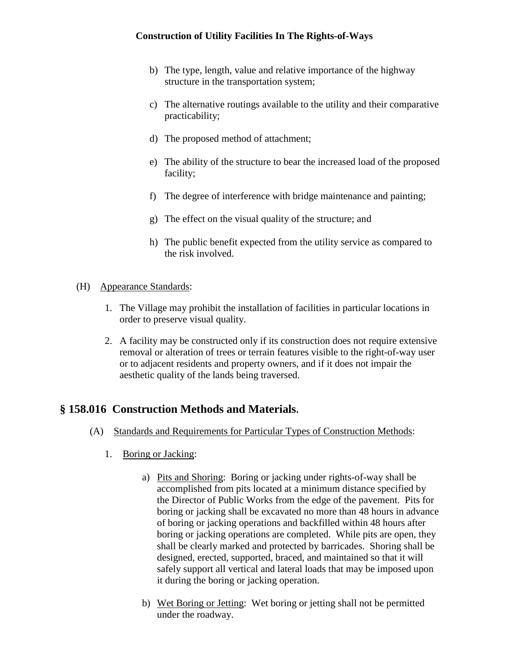- b) The type, length, value and relative importance of the highway structure in the transportation system;
- c) The alternative routings available to the utility and their comparative practicability;
- d) The proposed method of attachment;
- e) The ability of the structure to bear the increased load of the proposed facility;
- f) The degree of interference with bridge maintenance and painting;
- g) The effect on the visual quality of the structure; and
- h) The public benefit expected from the utility service as compared to the risk involved.
- (H) Appearance Standards:
	- 1. The Village may prohibit the installation of facilities in particular locations in order to preserve visual quality.
	- 2. A facility may be constructed only if its construction does not require extensive removal or alteration of trees or terrain features visible to the right-of-way user or to adjacent residents and property owners, and if it does not impair the aesthetic quality of the lands being traversed.

# **§ 158.016 Construction Methods and Materials.**

- (A) Standards and Requirements for Particular Types of Construction Methods:
	- 1. Boring or Jacking:
		- a) Pits and Shoring: Boring or jacking under rights-of-way shall be accomplished from pits located at a minimum distance specified by the Director of Public Works from the edge of the pavement. Pits for boring or jacking shall be excavated no more than 48 hours in advance of boring or jacking operations and backfilled within 48 hours after boring or jacking operations are completed. While pits are open, they shall be clearly marked and protected by barricades. Shoring shall be designed, erected, supported, braced, and maintained so that it will safely support all vertical and lateral loads that may be imposed upon it during the boring or jacking operation.
		- b) Wet Boring or Jetting: Wet boring or jetting shall not be permitted under the roadway.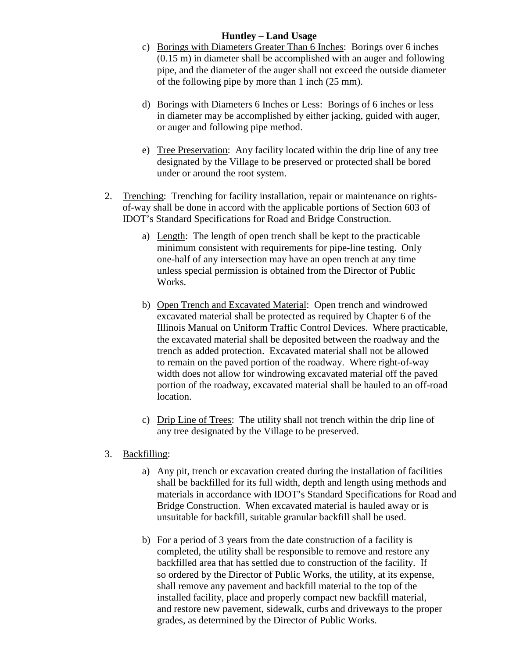#### **Huntley – Land Usage**

- c) Borings with Diameters Greater Than 6 Inches: Borings over 6 inches (0.15 m) in diameter shall be accomplished with an auger and following pipe, and the diameter of the auger shall not exceed the outside diameter of the following pipe by more than 1 inch (25 mm).
- d) Borings with Diameters 6 Inches or Less: Borings of 6 inches or less in diameter may be accomplished by either jacking, guided with auger, or auger and following pipe method.
- e) Tree Preservation: Any facility located within the drip line of any tree designated by the Village to be preserved or protected shall be bored under or around the root system.
- 2. Trenching: Trenching for facility installation, repair or maintenance on rightsof-way shall be done in accord with the applicable portions of Section 603 of IDOT's Standard Specifications for Road and Bridge Construction.
	- a) Length: The length of open trench shall be kept to the practicable minimum consistent with requirements for pipe-line testing. Only one-half of any intersection may have an open trench at any time unless special permission is obtained from the Director of Public Works.
	- b) Open Trench and Excavated Material: Open trench and windrowed excavated material shall be protected as required by Chapter 6 of the Illinois Manual on Uniform Traffic Control Devices. Where practicable, the excavated material shall be deposited between the roadway and the trench as added protection. Excavated material shall not be allowed to remain on the paved portion of the roadway. Where right-of-way width does not allow for windrowing excavated material off the paved portion of the roadway, excavated material shall be hauled to an off-road location.
	- c) Drip Line of Trees: The utility shall not trench within the drip line of any tree designated by the Village to be preserved.
- 3. Backfilling:
	- a) Any pit, trench or excavation created during the installation of facilities shall be backfilled for its full width, depth and length using methods and materials in accordance with IDOT's Standard Specifications for Road and Bridge Construction. When excavated material is hauled away or is unsuitable for backfill, suitable granular backfill shall be used.
	- b) For a period of 3 years from the date construction of a facility is completed, the utility shall be responsible to remove and restore any backfilled area that has settled due to construction of the facility. If so ordered by the Director of Public Works, the utility, at its expense, shall remove any pavement and backfill material to the top of the installed facility, place and properly compact new backfill material, and restore new pavement, sidewalk, curbs and driveways to the proper grades, as determined by the Director of Public Works.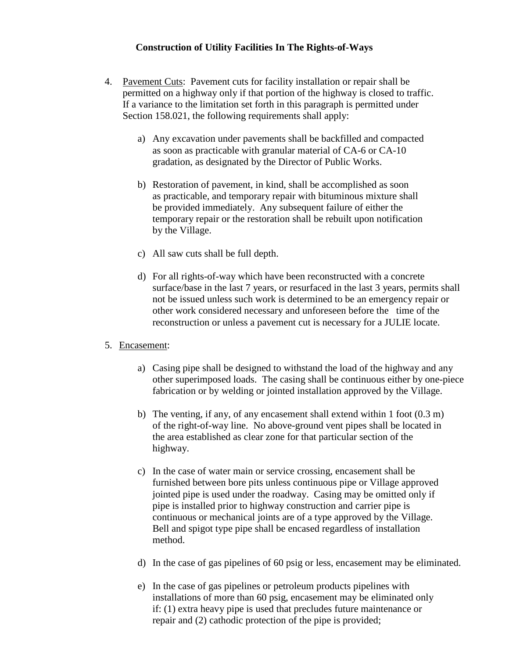- 4. Pavement Cuts: Pavement cuts for facility installation or repair shall be permitted on a highway only if that portion of the highway is closed to traffic. If a variance to the limitation set forth in this paragraph is permitted under Section 158.021, the following requirements shall apply:
	- a) Any excavation under pavements shall be backfilled and compacted as soon as practicable with granular material of CA-6 or CA-10 gradation, as designated by the Director of Public Works.
	- b) Restoration of pavement, in kind, shall be accomplished as soon as practicable, and temporary repair with bituminous mixture shall be provided immediately. Any subsequent failure of either the temporary repair or the restoration shall be rebuilt upon notification by the Village.
	- c) All saw cuts shall be full depth.
	- d) For all rights-of-way which have been reconstructed with a concrete surface/base in the last 7 years, or resurfaced in the last 3 years, permits shall not be issued unless such work is determined to be an emergency repair or other work considered necessary and unforeseen before the time of the reconstruction or unless a pavement cut is necessary for a JULIE locate.

#### 5. Encasement:

- a) Casing pipe shall be designed to withstand the load of the highway and any other superimposed loads. The casing shall be continuous either by one-piece fabrication or by welding or jointed installation approved by the Village.
- b) The venting, if any, of any encasement shall extend within 1 foot (0.3 m) of the right-of-way line. No above-ground vent pipes shall be located in the area established as clear zone for that particular section of the highway.
- c) In the case of water main or service crossing, encasement shall be furnished between bore pits unless continuous pipe or Village approved jointed pipe is used under the roadway. Casing may be omitted only if pipe is installed prior to highway construction and carrier pipe is continuous or mechanical joints are of a type approved by the Village. Bell and spigot type pipe shall be encased regardless of installation method.
- d) In the case of gas pipelines of 60 psig or less, encasement may be eliminated.
- e) In the case of gas pipelines or petroleum products pipelines with installations of more than 60 psig, encasement may be eliminated only if: (1) extra heavy pipe is used that precludes future maintenance or repair and (2) cathodic protection of the pipe is provided;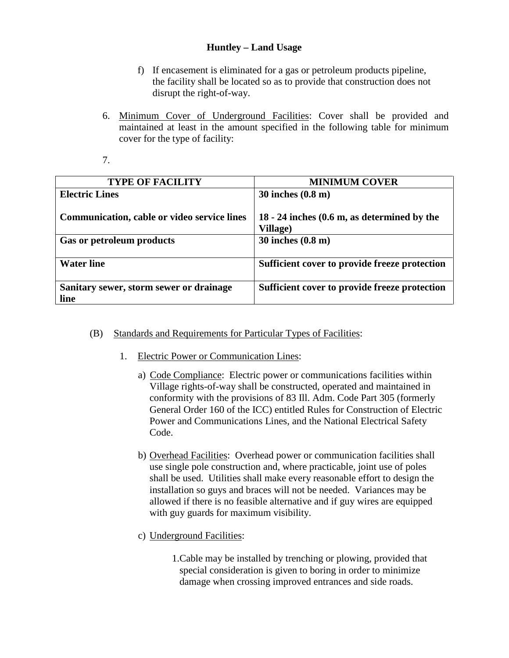### **Huntley – Land Usage**

- f) If encasement is eliminated for a gas or petroleum products pipeline, the facility shall be located so as to provide that construction does not disrupt the right-of-way.
- 6. Minimum Cover of Underground Facilities: Cover shall be provided and maintained at least in the amount specified in the following table for minimum cover for the type of facility:
- 7.

| <b>TYPE OF FACILITY</b>                         | <b>MINIMUM COVER</b>                                                         |
|-------------------------------------------------|------------------------------------------------------------------------------|
| <b>Electric Lines</b>                           | $30$ inches $(0.8 \text{ m})$                                                |
| Communication, cable or video service lines     | $18 - 24$ inches $(0.6 \text{ m}, \text{ as determined by the})$<br>Village) |
| Gas or petroleum products                       | 30 inches (0.8 m)                                                            |
| <b>Water line</b>                               | Sufficient cover to provide freeze protection                                |
| Sanitary sewer, storm sewer or drainage<br>line | Sufficient cover to provide freeze protection                                |

- (B) Standards and Requirements for Particular Types of Facilities:
	- 1. Electric Power or Communication Lines:
		- a) Code Compliance: Electric power or communications facilities within Village rights-of-way shall be constructed, operated and maintained in conformity with the provisions of 83 Ill. Adm. Code Part 305 (formerly General Order 160 of the ICC) entitled Rules for Construction of Electric Power and Communications Lines, and the National Electrical Safety Code.
		- b) Overhead Facilities: Overhead power or communication facilities shall use single pole construction and, where practicable, joint use of poles shall be used. Utilities shall make every reasonable effort to design the installation so guys and braces will not be needed. Variances may be allowed if there is no feasible alternative and if guy wires are equipped with guy guards for maximum visibility.
		- c) Underground Facilities:
			- 1.Cable may be installed by trenching or plowing, provided that special consideration is given to boring in order to minimize damage when crossing improved entrances and side roads.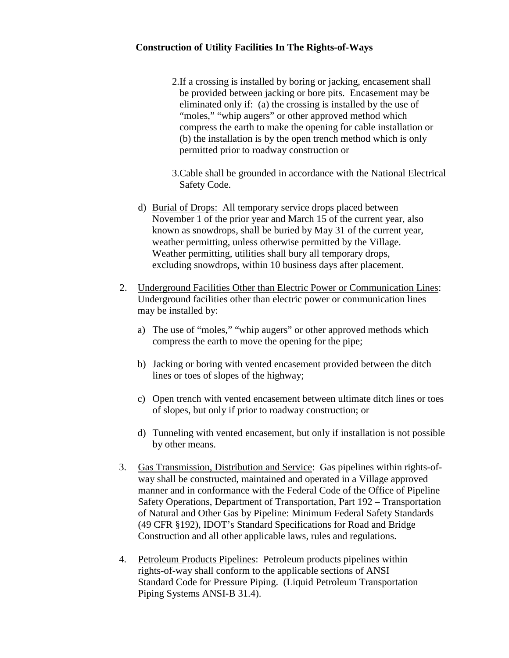- 2.If a crossing is installed by boring or jacking, encasement shall be provided between jacking or bore pits. Encasement may be eliminated only if: (a) the crossing is installed by the use of "moles," "whip augers" or other approved method which compress the earth to make the opening for cable installation or (b) the installation is by the open trench method which is only permitted prior to roadway construction or
- 3.Cable shall be grounded in accordance with the National Electrical Safety Code.
- d) Burial of Drops: All temporary service drops placed between November 1 of the prior year and March 15 of the current year, also known as snowdrops, shall be buried by May 31 of the current year, weather permitting, unless otherwise permitted by the Village. Weather permitting, utilities shall bury all temporary drops, excluding snowdrops, within 10 business days after placement.
- 2. Underground Facilities Other than Electric Power or Communication Lines: Underground facilities other than electric power or communication lines may be installed by:
	- a) The use of "moles," "whip augers" or other approved methods which compress the earth to move the opening for the pipe;
	- b) Jacking or boring with vented encasement provided between the ditch lines or toes of slopes of the highway;
	- c) Open trench with vented encasement between ultimate ditch lines or toes of slopes, but only if prior to roadway construction; or
	- d) Tunneling with vented encasement, but only if installation is not possible by other means.
- 3. Gas Transmission, Distribution and Service: Gas pipelines within rights-ofway shall be constructed, maintained and operated in a Village approved manner and in conformance with the Federal Code of the Office of Pipeline Safety Operations, Department of Transportation, Part 192 – Transportation of Natural and Other Gas by Pipeline: Minimum Federal Safety Standards (49 CFR §192), IDOT's Standard Specifications for Road and Bridge Construction and all other applicable laws, rules and regulations.
- 4. Petroleum Products Pipelines: Petroleum products pipelines within rights-of-way shall conform to the applicable sections of ANSI Standard Code for Pressure Piping. (Liquid Petroleum Transportation Piping Systems ANSI-B 31.4).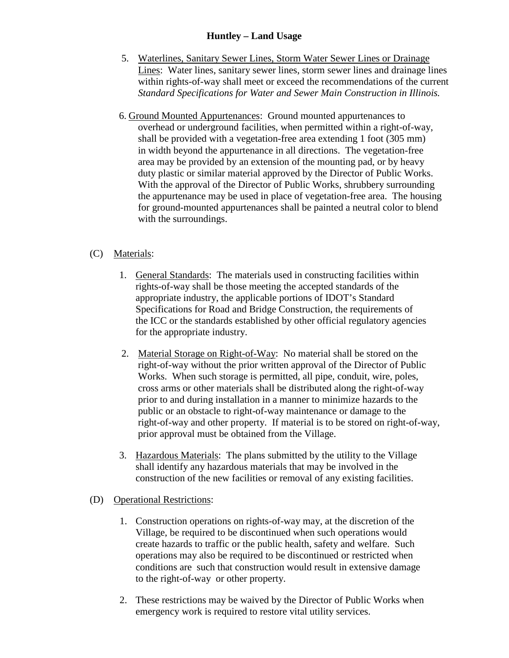### **Huntley – Land Usage**

- 5. Waterlines, Sanitary Sewer Lines, Storm Water Sewer Lines or Drainage Lines: Water lines, sanitary sewer lines, storm sewer lines and drainage lines within rights-of-way shall meet or exceed the recommendations of the current *Standard Specifications for Water and Sewer Main Construction in Illinois.*
- 6. Ground Mounted Appurtenances: Ground mounted appurtenances to overhead or underground facilities, when permitted within a right-of-way, shall be provided with a vegetation-free area extending 1 foot (305 mm) in width beyond the appurtenance in all directions. The vegetation-free area may be provided by an extension of the mounting pad, or by heavy duty plastic or similar material approved by the Director of Public Works. With the approval of the Director of Public Works, shrubbery surrounding the appurtenance may be used in place of vegetation-free area. The housing for ground-mounted appurtenances shall be painted a neutral color to blend with the surroundings.

### (C) Materials:

- 1. General Standards: The materials used in constructing facilities within rights-of-way shall be those meeting the accepted standards of the appropriate industry, the applicable portions of IDOT's Standard Specifications for Road and Bridge Construction, the requirements of the ICC or the standards established by other official regulatory agencies for the appropriate industry.
- 2. Material Storage on Right-of-Way: No material shall be stored on the right-of-way without the prior written approval of the Director of Public Works. When such storage is permitted, all pipe, conduit, wire, poles, cross arms or other materials shall be distributed along the right-of-way prior to and during installation in a manner to minimize hazards to the public or an obstacle to right-of-way maintenance or damage to the right-of-way and other property. If material is to be stored on right-of-way, prior approval must be obtained from the Village.
- 3. Hazardous Materials: The plans submitted by the utility to the Village shall identify any hazardous materials that may be involved in the construction of the new facilities or removal of any existing facilities.

### (D) Operational Restrictions:

- 1. Construction operations on rights-of-way may, at the discretion of the Village, be required to be discontinued when such operations would create hazards to traffic or the public health, safety and welfare. Such operations may also be required to be discontinued or restricted when conditions are such that construction would result in extensive damage to the right-of-way or other property.
- 2. These restrictions may be waived by the Director of Public Works when emergency work is required to restore vital utility services.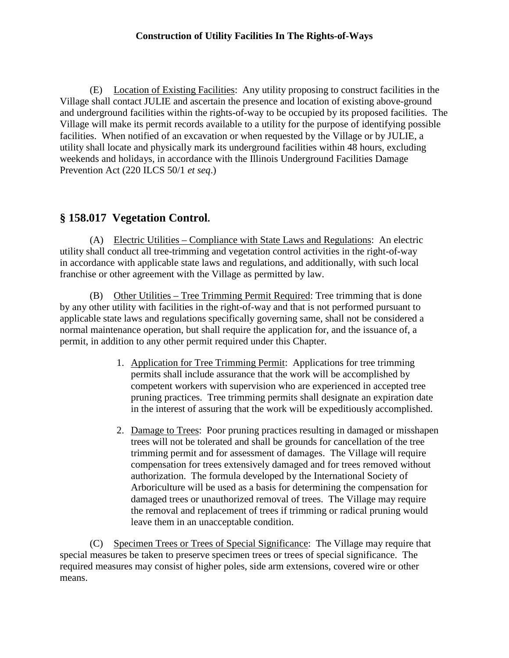(E) Location of Existing Facilities: Any utility proposing to construct facilities in the Village shall contact JULIE and ascertain the presence and location of existing above-ground and underground facilities within the rights-of-way to be occupied by its proposed facilities. The Village will make its permit records available to a utility for the purpose of identifying possible facilities. When notified of an excavation or when requested by the Village or by JULIE, a utility shall locate and physically mark its underground facilities within 48 hours, excluding weekends and holidays, in accordance with the Illinois Underground Facilities Damage Prevention Act (220 ILCS 50/1 *et seq*.)

# **§ 158.017 Vegetation Control.**

(A) Electric Utilities – Compliance with State Laws and Regulations: An electric utility shall conduct all tree-trimming and vegetation control activities in the right-of-way in accordance with applicable state laws and regulations, and additionally, with such local franchise or other agreement with the Village as permitted by law.

(B) Other Utilities – Tree Trimming Permit Required: Tree trimming that is done by any other utility with facilities in the right-of-way and that is not performed pursuant to applicable state laws and regulations specifically governing same, shall not be considered a normal maintenance operation, but shall require the application for, and the issuance of, a permit, in addition to any other permit required under this Chapter.

- 1. Application for Tree Trimming Permit: Applications for tree trimming permits shall include assurance that the work will be accomplished by competent workers with supervision who are experienced in accepted tree pruning practices. Tree trimming permits shall designate an expiration date in the interest of assuring that the work will be expeditiously accomplished.
- 2. Damage to Trees: Poor pruning practices resulting in damaged or misshapen trees will not be tolerated and shall be grounds for cancellation of the tree trimming permit and for assessment of damages. The Village will require compensation for trees extensively damaged and for trees removed without authorization. The formula developed by the International Society of Arboriculture will be used as a basis for determining the compensation for damaged trees or unauthorized removal of trees. The Village may require the removal and replacement of trees if trimming or radical pruning would leave them in an unacceptable condition.

(C) Specimen Trees or Trees of Special Significance: The Village may require that special measures be taken to preserve specimen trees or trees of special significance. The required measures may consist of higher poles, side arm extensions, covered wire or other means.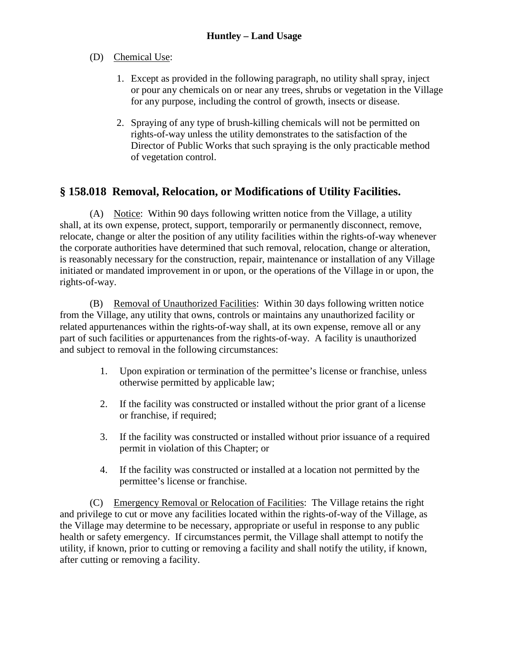### (D) Chemical Use:

- 1. Except as provided in the following paragraph, no utility shall spray, inject or pour any chemicals on or near any trees, shrubs or vegetation in the Village for any purpose, including the control of growth, insects or disease.
- 2. Spraying of any type of brush-killing chemicals will not be permitted on rights-of-way unless the utility demonstrates to the satisfaction of the Director of Public Works that such spraying is the only practicable method of vegetation control.

# **§ 158.018 Removal, Relocation, or Modifications of Utility Facilities.**

(A) Notice: Within 90 days following written notice from the Village, a utility shall, at its own expense, protect, support, temporarily or permanently disconnect, remove, relocate, change or alter the position of any utility facilities within the rights-of-way whenever the corporate authorities have determined that such removal, relocation, change or alteration, is reasonably necessary for the construction, repair, maintenance or installation of any Village initiated or mandated improvement in or upon, or the operations of the Village in or upon, the rights-of-way.

(B) Removal of Unauthorized Facilities: Within 30 days following written notice from the Village, any utility that owns, controls or maintains any unauthorized facility or related appurtenances within the rights-of-way shall, at its own expense, remove all or any part of such facilities or appurtenances from the rights-of-way. A facility is unauthorized and subject to removal in the following circumstances:

- 1. Upon expiration or termination of the permittee's license or franchise, unless otherwise permitted by applicable law;
- 2. If the facility was constructed or installed without the prior grant of a license or franchise, if required;
- 3. If the facility was constructed or installed without prior issuance of a required permit in violation of this Chapter; or
- 4. If the facility was constructed or installed at a location not permitted by the permittee's license or franchise.

(C) Emergency Removal or Relocation of Facilities: The Village retains the right and privilege to cut or move any facilities located within the rights-of-way of the Village, as the Village may determine to be necessary, appropriate or useful in response to any public health or safety emergency. If circumstances permit, the Village shall attempt to notify the utility, if known, prior to cutting or removing a facility and shall notify the utility, if known, after cutting or removing a facility.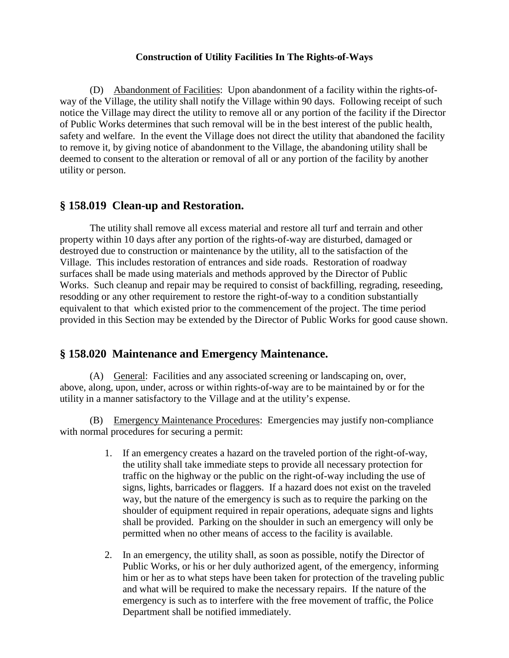(D) Abandonment of Facilities: Upon abandonment of a facility within the rights-ofway of the Village, the utility shall notify the Village within 90 days. Following receipt of such notice the Village may direct the utility to remove all or any portion of the facility if the Director of Public Works determines that such removal will be in the best interest of the public health, safety and welfare. In the event the Village does not direct the utility that abandoned the facility to remove it, by giving notice of abandonment to the Village, the abandoning utility shall be deemed to consent to the alteration or removal of all or any portion of the facility by another utility or person.

# **§ 158.019 Clean-up and Restoration.**

The utility shall remove all excess material and restore all turf and terrain and other property within 10 days after any portion of the rights-of-way are disturbed, damaged or destroyed due to construction or maintenance by the utility, all to the satisfaction of the Village. This includes restoration of entrances and side roads. Restoration of roadway surfaces shall be made using materials and methods approved by the Director of Public Works. Such cleanup and repair may be required to consist of backfilling, regrading, reseeding, resodding or any other requirement to restore the right-of-way to a condition substantially equivalent to that which existed prior to the commencement of the project. The time period provided in this Section may be extended by the Director of Public Works for good cause shown.

# **§ 158.020 Maintenance and Emergency Maintenance.**

(A) General: Facilities and any associated screening or landscaping on, over, above, along, upon, under, across or within rights-of-way are to be maintained by or for the utility in a manner satisfactory to the Village and at the utility's expense.

(B) Emergency Maintenance Procedures: Emergencies may justify non-compliance with normal procedures for securing a permit:

- 1. If an emergency creates a hazard on the traveled portion of the right-of-way, the utility shall take immediate steps to provide all necessary protection for traffic on the highway or the public on the right-of-way including the use of signs, lights, barricades or flaggers. If a hazard does not exist on the traveled way, but the nature of the emergency is such as to require the parking on the shoulder of equipment required in repair operations, adequate signs and lights shall be provided. Parking on the shoulder in such an emergency will only be permitted when no other means of access to the facility is available.
- 2. In an emergency, the utility shall, as soon as possible, notify the Director of Public Works, or his or her duly authorized agent, of the emergency, informing him or her as to what steps have been taken for protection of the traveling public and what will be required to make the necessary repairs. If the nature of the emergency is such as to interfere with the free movement of traffic, the Police Department shall be notified immediately.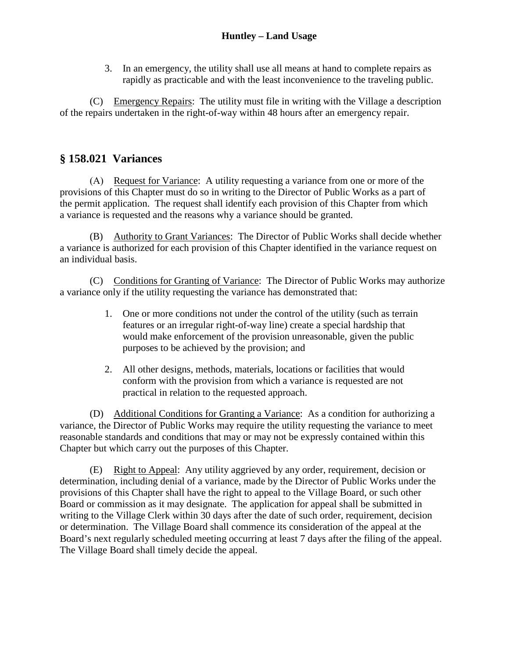3. In an emergency, the utility shall use all means at hand to complete repairs as rapidly as practicable and with the least inconvenience to the traveling public.

(C) Emergency Repairs: The utility must file in writing with the Village a description of the repairs undertaken in the right-of-way within 48 hours after an emergency repair.

# **§ 158.021 Variances**

(A) Request for Variance: A utility requesting a variance from one or more of the provisions of this Chapter must do so in writing to the Director of Public Works as a part of the permit application. The request shall identify each provision of this Chapter from which a variance is requested and the reasons why a variance should be granted.

(B) Authority to Grant Variances: The Director of Public Works shall decide whether a variance is authorized for each provision of this Chapter identified in the variance request on an individual basis.

(C) Conditions for Granting of Variance: The Director of Public Works may authorize a variance only if the utility requesting the variance has demonstrated that:

- 1. One or more conditions not under the control of the utility (such as terrain features or an irregular right-of-way line) create a special hardship that would make enforcement of the provision unreasonable, given the public purposes to be achieved by the provision; and
- 2. All other designs, methods, materials, locations or facilities that would conform with the provision from which a variance is requested are not practical in relation to the requested approach.

(D) Additional Conditions for Granting a Variance: As a condition for authorizing a variance, the Director of Public Works may require the utility requesting the variance to meet reasonable standards and conditions that may or may not be expressly contained within this Chapter but which carry out the purposes of this Chapter.

(E) Right to Appeal: Any utility aggrieved by any order, requirement, decision or determination, including denial of a variance, made by the Director of Public Works under the provisions of this Chapter shall have the right to appeal to the Village Board, or such other Board or commission as it may designate. The application for appeal shall be submitted in writing to the Village Clerk within 30 days after the date of such order, requirement, decision or determination. The Village Board shall commence its consideration of the appeal at the Board's next regularly scheduled meeting occurring at least 7 days after the filing of the appeal. The Village Board shall timely decide the appeal.